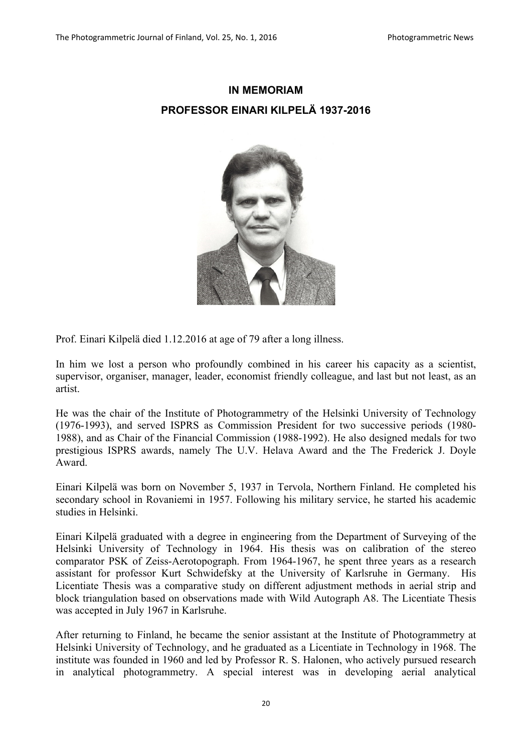## **IN MEMORIAM PROFESSOR EINARI KILPELÄ 1937-2016**



Prof. Einari Kilpelä died 1.12.2016 at age of 79 after a long illness.

In him we lost a person who profoundly combined in his career his capacity as a scientist, supervisor, organiser, manager, leader, economist friendly colleague, and last but not least, as an artist.

He was the chair of the Institute of Photogrammetry of the Helsinki University of Technology (1976-1993), and served ISPRS as Commission President for two successive periods (1980- 1988), and as Chair of the Financial Commission (1988-1992). He also designed medals for two prestigious ISPRS awards, namely The U.V. Helava Award and the The Frederick J. Doyle Award.

Einari Kilpelä was born on November 5, 1937 in Tervola, Northern Finland. He completed his secondary school in Rovaniemi in 1957. Following his military service, he started his academic studies in Helsinki.

Einari Kilpelä graduated with a degree in engineering from the Department of Surveying of the Helsinki University of Technology in 1964. His thesis was on calibration of the stereo comparator PSK of Zeiss-Aerotopograph. From 1964-1967, he spent three years as a research assistant for professor Kurt Schwidefsky at the University of Karlsruhe in Germany. His Licentiate Thesis was a comparative study on different adjustment methods in aerial strip and block triangulation based on observations made with Wild Autograph A8. The Licentiate Thesis was accepted in July 1967 in Karlsruhe.

After returning to Finland, he became the senior assistant at the Institute of Photogrammetry at Helsinki University of Technology, and he graduated as a Licentiate in Technology in 1968. The institute was founded in 1960 and led by Professor R. S. Halonen, who actively pursued research in analytical photogrammetry. A special interest was in developing aerial analytical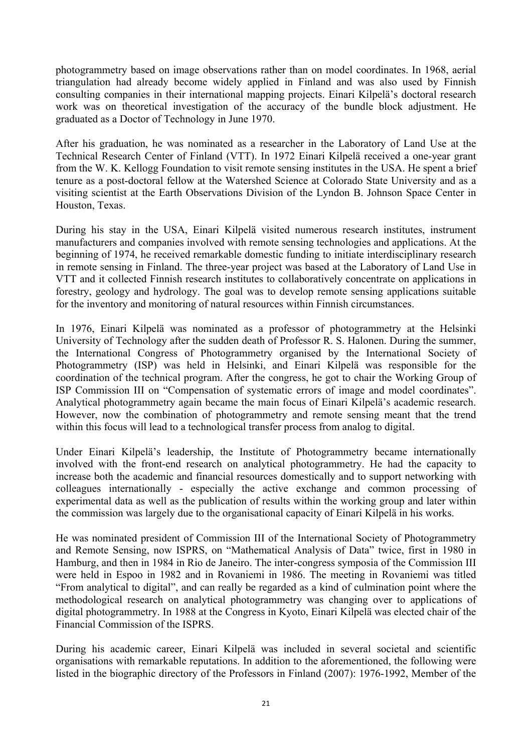photogrammetry based on image observations rather than on model coordinates. In 1968, aerial triangulation had already become widely applied in Finland and was also used by Finnish consulting companies in their international mapping projects. Einari Kilpelä's doctoral research work was on theoretical investigation of the accuracy of the bundle block adjustment. He graduated as a Doctor of Technology in June 1970.

After his graduation, he was nominated as a researcher in the Laboratory of Land Use at the Technical Research Center of Finland (VTT). In 1972 Einari Kilpelä received a one-year grant from the W. K. Kellogg Foundation to visit remote sensing institutes in the USA. He spent a brief tenure as a post-doctoral fellow at the Watershed Science at Colorado State University and as a visiting scientist at the Earth Observations Division of the Lyndon B. Johnson Space Center in Houston, Texas.

During his stay in the USA, Einari Kilpelä visited numerous research institutes, instrument manufacturers and companies involved with remote sensing technologies and applications. At the beginning of 1974, he received remarkable domestic funding to initiate interdisciplinary research in remote sensing in Finland. The three-year project was based at the Laboratory of Land Use in VTT and it collected Finnish research institutes to collaboratively concentrate on applications in forestry, geology and hydrology. The goal was to develop remote sensing applications suitable for the inventory and monitoring of natural resources within Finnish circumstances.

In 1976, Einari Kilpelä was nominated as a professor of photogrammetry at the Helsinki University of Technology after the sudden death of Professor R. S. Halonen. During the summer, the International Congress of Photogrammetry organised by the International Society of Photogrammetry (ISP) was held in Helsinki, and Einari Kilpelä was responsible for the coordination of the technical program. After the congress, he got to chair the Working Group of ISP Commission III on "Compensation of systematic errors of image and model coordinates". Analytical photogrammetry again became the main focus of Einari Kilpelä's academic research. However, now the combination of photogrammetry and remote sensing meant that the trend within this focus will lead to a technological transfer process from analog to digital.

Under Einari Kilpelä's leadership, the Institute of Photogrammetry became internationally involved with the front-end research on analytical photogrammetry. He had the capacity to increase both the academic and financial resources domestically and to support networking with colleagues internationally - especially the active exchange and common processing of experimental data as well as the publication of results within the working group and later within the commission was largely due to the organisational capacity of Einari Kilpelä in his works.

He was nominated president of Commission III of the International Society of Photogrammetry and Remote Sensing, now ISPRS, on "Mathematical Analysis of Data" twice, first in 1980 in Hamburg, and then in 1984 in Rio de Janeiro. The inter-congress symposia of the Commission III were held in Espoo in 1982 and in Rovaniemi in 1986. The meeting in Rovaniemi was titled "From analytical to digital", and can really be regarded as a kind of culmination point where the methodological research on analytical photogrammetry was changing over to applications of digital photogrammetry. In 1988 at the Congress in Kyoto, Einari Kilpelä was elected chair of the Financial Commission of the ISPRS.

During his academic career, Einari Kilpelä was included in several societal and scientific organisations with remarkable reputations. In addition to the aforementioned, the following were listed in the biographic directory of the Professors in Finland (2007): 1976-1992, Member of the